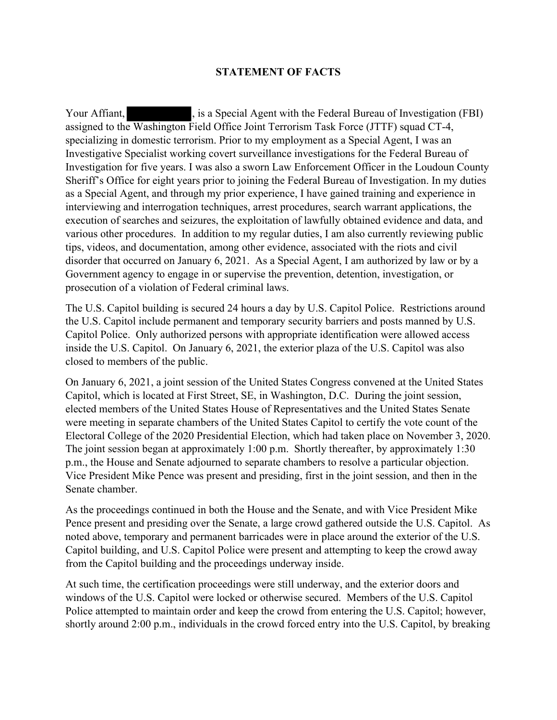## **STATEMENT OF FACTS**

Your Affiant,  $\cdot$ , is a Special Agent with the Federal Bureau of Investigation (FBI) assigned to the Washington Field Office Joint Terrorism Task Force (JTTF) squad CT-4, specializing in domestic terrorism. Prior to my employment as a Special Agent, I was an Investigative Specialist working covert surveillance investigations for the Federal Bureau of Investigation for five years. I was also a sworn Law Enforcement Officer in the Loudoun County Sheriff's Office for eight years prior to joining the Federal Bureau of Investigation. In my duties as a Special Agent, and through my prior experience, I have gained training and experience in interviewing and interrogation techniques, arrest procedures, search warrant applications, the execution of searches and seizures, the exploitation of lawfully obtained evidence and data, and various other procedures. In addition to my regular duties, I am also currently reviewing public tips, videos, and documentation, among other evidence, associated with the riots and civil disorder that occurred on January 6, 2021. As a Special Agent, I am authorized by law or by a Government agency to engage in or supervise the prevention, detention, investigation, or prosecution of a violation of Federal criminal laws.

The U.S. Capitol building is secured 24 hours a day by U.S. Capitol Police. Restrictions around the U.S. Capitol include permanent and temporary security barriers and posts manned by U.S. Capitol Police. Only authorized persons with appropriate identification were allowed access inside the U.S. Capitol. On January 6, 2021, the exterior plaza of the U.S. Capitol was also closed to members of the public.

On January 6, 2021, a joint session of the United States Congress convened at the United States Capitol, which is located at First Street, SE, in Washington, D.C. During the joint session, elected members of the United States House of Representatives and the United States Senate were meeting in separate chambers of the United States Capitol to certify the vote count of the Electoral College of the 2020 Presidential Election, which had taken place on November 3, 2020. The joint session began at approximately 1:00 p.m. Shortly thereafter, by approximately 1:30 p.m., the House and Senate adjourned to separate chambers to resolve a particular objection. Vice President Mike Pence was present and presiding, first in the joint session, and then in the Senate chamber.

As the proceedings continued in both the House and the Senate, and with Vice President Mike Pence present and presiding over the Senate, a large crowd gathered outside the U.S. Capitol. As noted above, temporary and permanent barricades were in place around the exterior of the U.S. Capitol building, and U.S. Capitol Police were present and attempting to keep the crowd away from the Capitol building and the proceedings underway inside.

At such time, the certification proceedings were still underway, and the exterior doors and windows of the U.S. Capitol were locked or otherwise secured. Members of the U.S. Capitol Police attempted to maintain order and keep the crowd from entering the U.S. Capitol; however, shortly around 2:00 p.m., individuals in the crowd forced entry into the U.S. Capitol, by breaking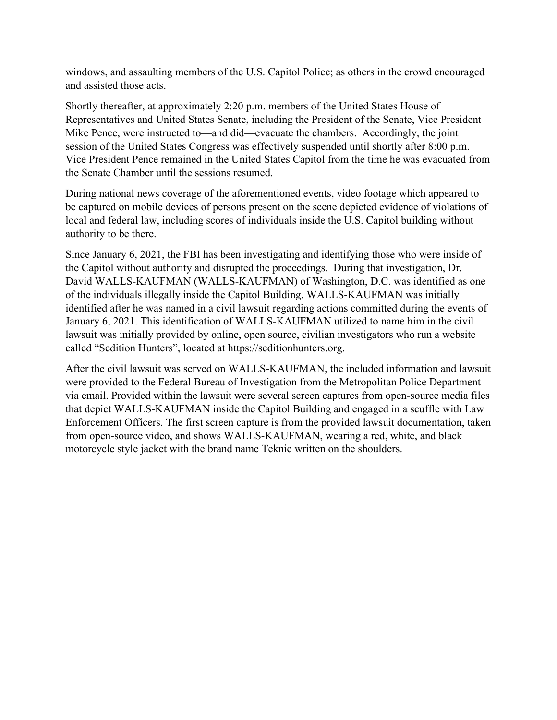windows, and assaulting members of the U.S. Capitol Police; as others in the crowd encouraged and assisted those acts.

Shortly thereafter, at approximately 2:20 p.m. members of the United States House of Representatives and United States Senate, including the President of the Senate, Vice President Mike Pence, were instructed to—and did—evacuate the chambers. Accordingly, the joint session of the United States Congress was effectively suspended until shortly after 8:00 p.m. Vice President Pence remained in the United States Capitol from the time he was evacuated from the Senate Chamber until the sessions resumed.

During national news coverage of the aforementioned events, video footage which appeared to be captured on mobile devices of persons present on the scene depicted evidence of violations of local and federal law, including scores of individuals inside the U.S. Capitol building without authority to be there.

Since January 6, 2021, the FBI has been investigating and identifying those who were inside of the Capitol without authority and disrupted the proceedings. During that investigation, Dr. David WALLS-KAUFMAN (WALLS-KAUFMAN) of Washington, D.C. was identified as one of the individuals illegally inside the Capitol Building. WALLS-KAUFMAN was initially identified after he was named in a civil lawsuit regarding actions committed during the events of January 6, 2021. This identification of WALLS-KAUFMAN utilized to name him in the civil lawsuit was initially provided by online, open source, civilian investigators who run a website called "Sedition Hunters", located at https://seditionhunters.org.

After the civil lawsuit was served on WALLS-KAUFMAN, the included information and lawsuit were provided to the Federal Bureau of Investigation from the Metropolitan Police Department via email. Provided within the lawsuit were several screen captures from open-source media files that depict WALLS-KAUFMAN inside the Capitol Building and engaged in a scuffle with Law Enforcement Officers. The first screen capture is from the provided lawsuit documentation, taken from open-source video, and shows WALLS-KAUFMAN, wearing a red, white, and black motorcycle style jacket with the brand name Teknic written on the shoulders.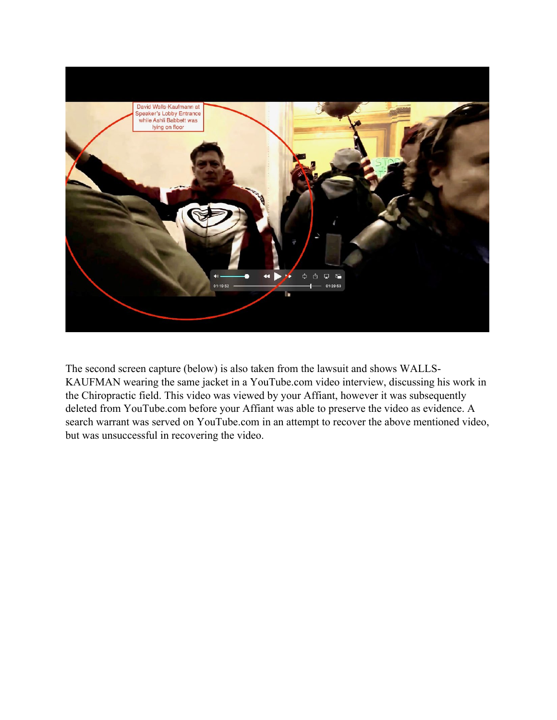

The second screen capture (below) is also taken from the lawsuit and shows WALLS-KAUFMAN wearing the same jacket in a YouTube.com video interview, discussing his work in the Chiropractic field. This video was viewed by your Affiant, however it was subsequently deleted from YouTube.com before your Affiant was able to preserve the video as evidence. A search warrant was served on YouTube.com in an attempt to recover the above mentioned video, but was unsuccessful in recovering the video.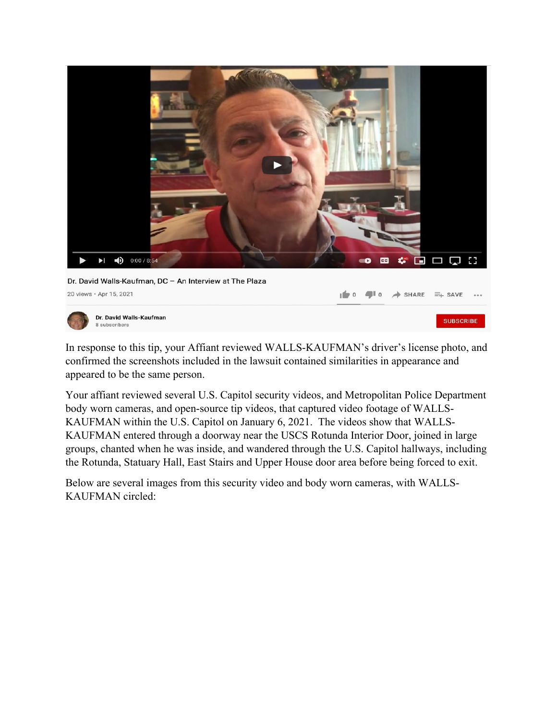

In response to this tip, your Affiant reviewed WALLS-KAUFMAN's driver's license photo, and confirmed the screenshots included in the lawsuit contained similarities in appearance and appeared to be the same person.

Your affiant reviewed several U.S. Capitol security videos, and Metropolitan Police Department body worn cameras, and open-source tip videos, that captured video footage of WALLS-KAUFMAN within the U.S. Capitol on January 6, 2021. The videos show that WALLS-KAUFMAN entered through a doorway near the USCS Rotunda Interior Door, joined in large groups, chanted when he was inside, and wandered through the U.S. Capitol hallways, including the Rotunda, Statuary Hall, East Stairs and Upper House door area before being forced to exit.

Below are several images from this security video and body worn cameras, with WALLS-KAUFMAN circled: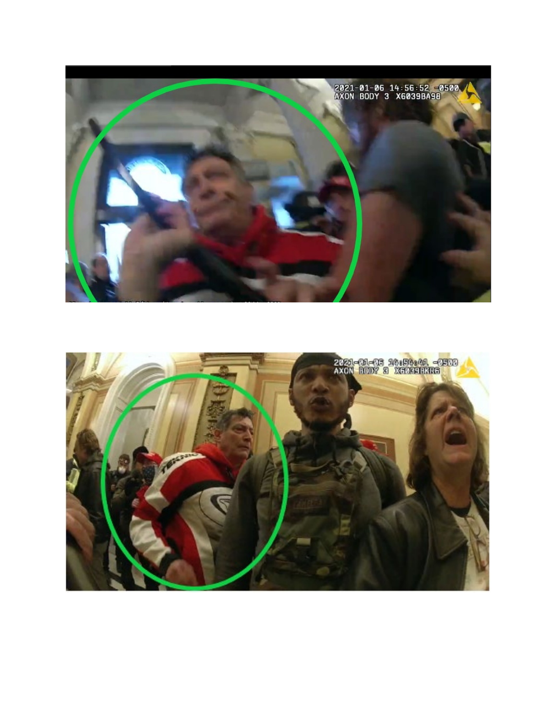

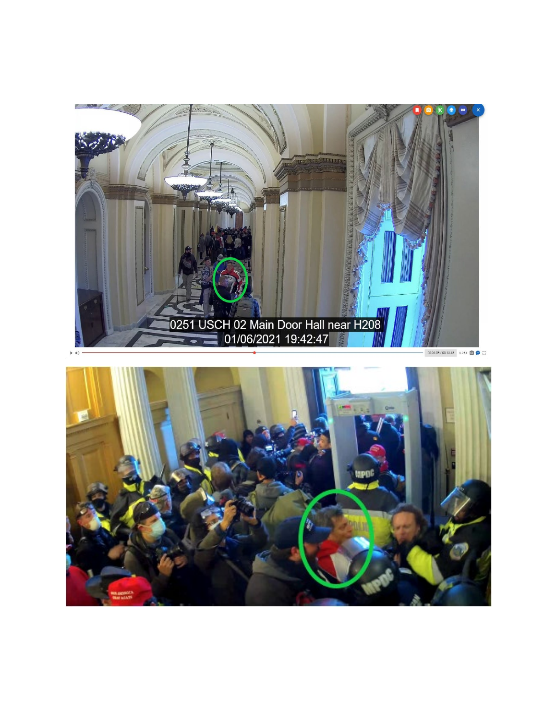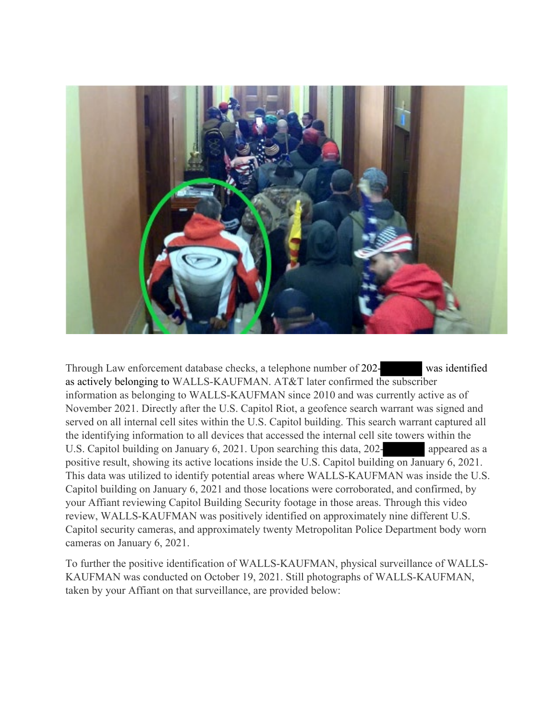

Through Law enforcement database checks, a telephone number of 202- was identified as actively belonging to WALLS-KAUFMAN. AT&T later confirmed the subscriber information as belonging to WALLS-KAUFMAN since 2010 and was currently active as of November 2021. Directly after the U.S. Capitol Riot, a geofence search warrant was signed and served on all internal cell sites within the U.S. Capitol building. This search warrant captured all the identifying information to all devices that accessed the internal cell site towers within the U.S. Capitol building on January 6, 2021. Upon searching this data, 202- appeared as a positive result, showing its active locations inside the U.S. Capitol building on January 6, 2021. This data was utilized to identify potential areas where WALLS-KAUFMAN was inside the U.S. Capitol building on January 6, 2021 and those locations were corroborated, and confirmed, by your Affiant reviewing Capitol Building Security footage in those areas. Through this video review, WALLS-KAUFMAN was positively identified on approximately nine different U.S. Capitol security cameras, and approximately twenty Metropolitan Police Department body worn cameras on January 6, 2021.

To further the positive identification of WALLS-KAUFMAN, physical surveillance of WALLS-KAUFMAN was conducted on October 19, 2021. Still photographs of WALLS-KAUFMAN, taken by your Affiant on that surveillance, are provided below: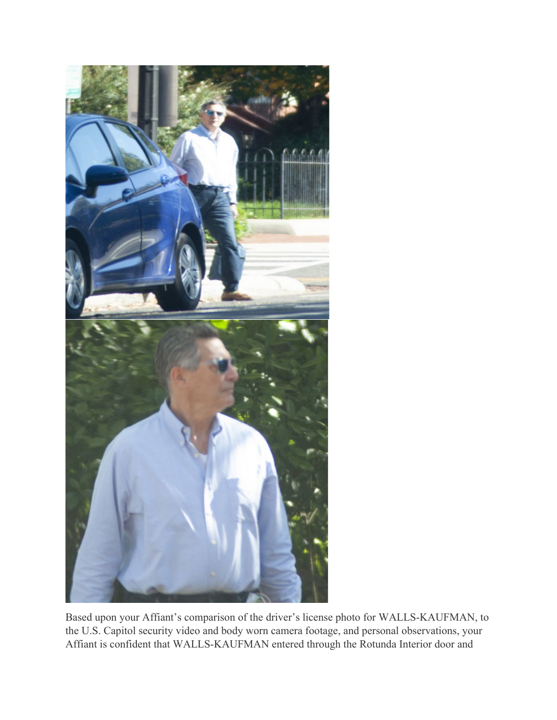

Based upon your Affiant's comparison of the driver's license photo for WALLS-KAUFMAN, to the U.S. Capitol security video and body worn camera footage, and personal observations, your Affiant is confident that WALLS-KAUFMAN entered through the Rotunda Interior door and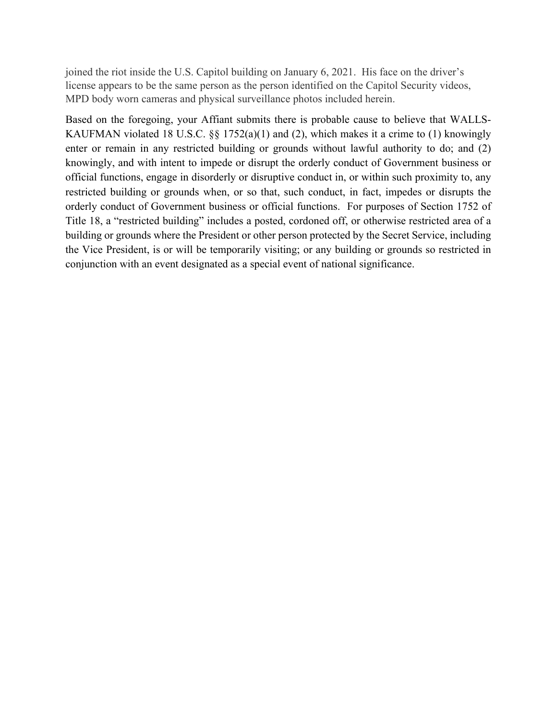joined the riot inside the U.S. Capitol building on January 6, 2021. His face on the driver's license appears to be the same person as the person identified on the Capitol Security videos, MPD body worn cameras and physical surveillance photos included herein.

Based on the foregoing, your Affiant submits there is probable cause to believe that WALLS-KAUFMAN violated 18 U.S.C. §§ 1752(a)(1) and (2), which makes it a crime to (1) knowingly enter or remain in any restricted building or grounds without lawful authority to do; and (2) knowingly, and with intent to impede or disrupt the orderly conduct of Government business or official functions, engage in disorderly or disruptive conduct in, or within such proximity to, any restricted building or grounds when, or so that, such conduct, in fact, impedes or disrupts the orderly conduct of Government business or official functions. For purposes of Section 1752 of Title 18, a "restricted building" includes a posted, cordoned off, or otherwise restricted area of a building or grounds where the President or other person protected by the Secret Service, including the Vice President, is or will be temporarily visiting; or any building or grounds so restricted in conjunction with an event designated as a special event of national significance.